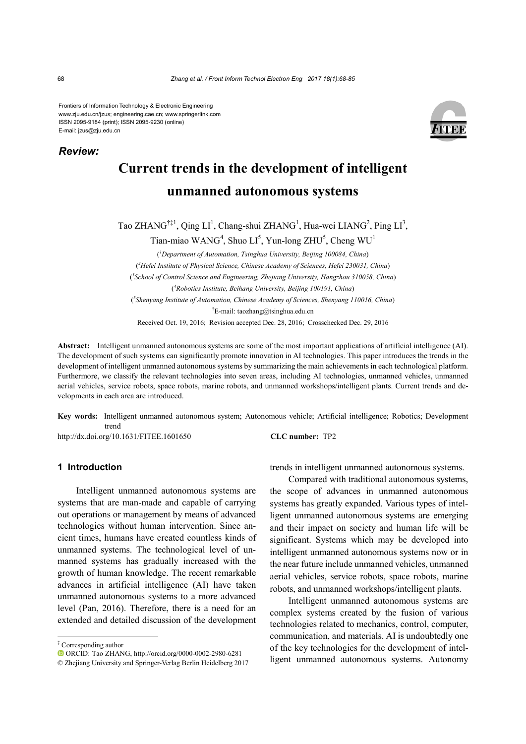Frontiers of Information Technology & Electronic Engineering www.zju.edu.cn/jzus; engineering.cae.cn; www.springerlink.com ISSN 2095-9184 (print); ISSN 2095-9230 (online) E-mail: jzus@zju.edu.cn



# **Current trends in the development of intelligent unmanned autonomous systems**

Tao ZHANG<sup>†‡1</sup>, Qing LI<sup>1</sup>, Chang-shui ZHANG<sup>1</sup>, Hua-wei LIANG<sup>2</sup>, Ping LI<sup>3</sup>,

Tian-miao WANG<sup>4</sup>, Shuo LI<sup>5</sup>, Yun-long ZHU<sup>5</sup>, Cheng WU<sup>1</sup>

( *1 Department of Automation, Tsinghua University, Beijing 100084, China*) ( *2 Hefei Institute of Physical Science, Chinese Academy of Sciences, Hefei 230031, China*) ( *3 School of Control Science and Engineering, Zhejiang University, Hangzhou 310058, China*) ( *4 Robotics Institute, Beihang University, Beijing 100191, China*) ( *5 Shenyang Institute of Automation, Chinese Academy of Sciences, Shenyang 110016, China*) † E-mail: taozhang@tsinghua.edu.cn Received Oct. 19, 2016; Revision accepted Dec. 28, 2016; Crosschecked Dec. 29, 2016

**Abstract:** Intelligent unmanned autonomous systems are some of the most important applications of artificial intelligence (AI). The development of such systems can significantly promote innovation in AI technologies. This paper introduces the trends in the development of intelligent unmanned autonomous systems by summarizing the main achievements in each technological platform. Furthermore, we classify the relevant technologies into seven areas, including AI technologies, unmanned vehicles, unmanned aerial vehicles, service robots, space robots, marine robots, and unmanned workshops/intelligent plants. Current trends and developments in each area are introduced.

**Key words:** Intelligent unmanned autonomous system; Autonomous vehicle; Artificial intelligence; Robotics; Development trend

http://dx.doi.org/10.1631/FITEE.1601650 **CLC number:** TP2

# **1 Introduction**

Intelligent unmanned autonomous systems are systems that are man-made and capable of carrying out operations or management by means of advanced technologies without human intervention. Since ancient times, humans have created countless kinds of unmanned systems. The technological level of unmanned systems has gradually increased with the growth of human knowledge. The recent remarkable advances in artificial intelligence (AI) have taken unmanned autonomous systems to a more advanced level (Pan, 2016). Therefore, there is a need for an extended and detailed discussion of the development trends in intelligent unmanned autonomous systems.

Compared with traditional autonomous systems, the scope of advances in unmanned autonomous systems has greatly expanded. Various types of intelligent unmanned autonomous systems are emerging and their impact on society and human life will be significant. Systems which may be developed into intelligent unmanned autonomous systems now or in the near future include unmanned vehicles, unmanned aerial vehicles, service robots, space robots, marine robots, and unmanned workshops/intelligent plants.

Intelligent unmanned autonomous systems are complex systems created by the fusion of various technologies related to mechanics, control, computer, communication, and materials. AI is undoubtedly one of the key technologies for the development of intelligent unmanned autonomous systems. Autonomy

*Review:*

<sup>‡</sup> Corresponding author

ORCID: Tao ZHANG, http://orcid.org/0000-0002-2980-6281

<sup>©</sup> Zhejiang University and Springer-Verlag Berlin Heidelberg 2017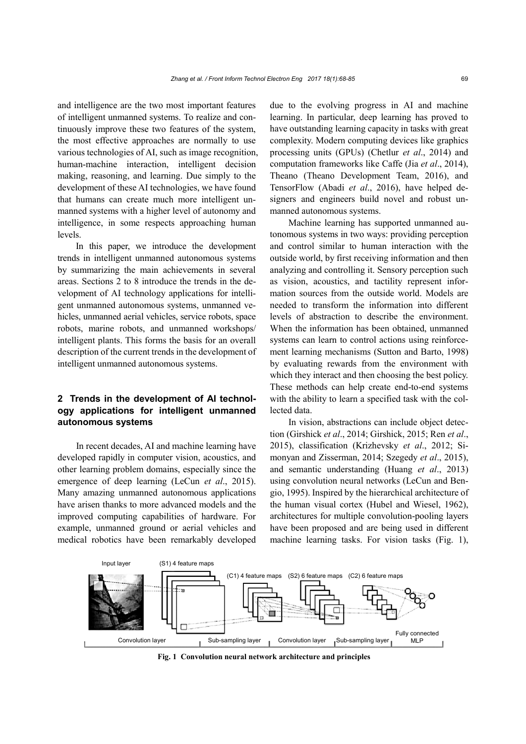and intelligence are the two most important features of intelligent unmanned systems. To realize and continuously improve these two features of the system, the most effective approaches are normally to use various technologies of AI, such as image recognition, human-machine interaction, intelligent decision making, reasoning, and learning. Due simply to the development of these AI technologies, we have found that humans can create much more intelligent unmanned systems with a higher level of autonomy and intelligence, in some respects approaching human levels.

In this paper, we introduce the development trends in intelligent unmanned autonomous systems by summarizing the main achievements in several areas. Sections 2 to 8 introduce the trends in the development of AI technology applications for intelligent unmanned autonomous systems, unmanned vehicles, unmanned aerial vehicles, service robots, space robots, marine robots, and unmanned workshops/ intelligent plants. This forms the basis for an overall description of the current trends in the development of intelligent unmanned autonomous systems.

# **2 Trends in the development of AI technology applications for intelligent unmanned autonomous systems**

In recent decades, AI and machine learning have developed rapidly in computer vision, acoustics, and other learning problem domains, especially since the emergence of deep learning (LeCun *et al*., 2015). Many amazing unmanned autonomous applications have arisen thanks to more advanced models and the improved computing capabilities of hardware. For example, unmanned ground or aerial vehicles and medical robotics have been remarkably developed due to the evolving progress in AI and machine learning. In particular, deep learning has proved to have outstanding learning capacity in tasks with great complexity. Modern computing devices like graphics processing units (GPUs) (Chetlur *et al*., 2014) and computation frameworks like Caffe (Jia *et al*., 2014), Theano (Theano Development Team, 2016), and TensorFlow (Abadi *et al*., 2016), have helped designers and engineers build novel and robust unmanned autonomous systems.

Machine learning has supported unmanned autonomous systems in two ways: providing perception and control similar to human interaction with the outside world, by first receiving information and then analyzing and controlling it. Sensory perception such as vision, acoustics, and tactility represent information sources from the outside world. Models are needed to transform the information into different levels of abstraction to describe the environment. When the information has been obtained, unmanned systems can learn to control actions using reinforcement learning mechanisms (Sutton and Barto, 1998) by evaluating rewards from the environment with which they interact and then choosing the best policy. These methods can help create end-to-end systems with the ability to learn a specified task with the collected data.

In vision, abstractions can include object detection (Girshick *et al*., 2014; Girshick, 2015; Ren *et al*., 2015), classification (Krizhevsky *et al*., 2012; Simonyan and Zisserman, 2014; Szegedy *et al*., 2015), and semantic understanding (Huang *et al*., 2013) using convolution neural networks (LeCun and Bengio, 1995). Inspired by the hierarchical architecture of the human visual cortex (Hubel and Wiesel, 1962), architectures for multiple convolution-pooling layers have been proposed and are being used in different machine learning tasks. For vision tasks (Fig. 1),



**Fig. 1 Convolution neural network architecture and principles**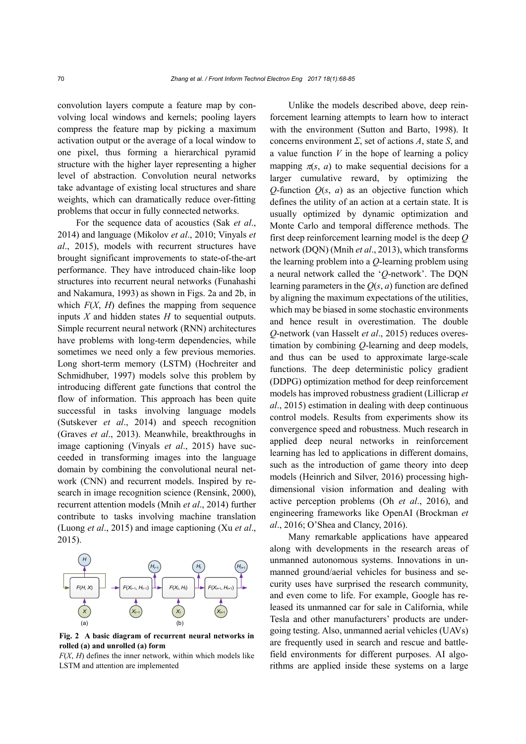convolution layers compute a feature map by convolving local windows and kernels; pooling layers compress the feature map by picking a maximum activation output or the average of a local window to one pixel, thus forming a hierarchical pyramid structure with the higher layer representing a higher level of abstraction. Convolution neural networks take advantage of existing local structures and share weights, which can dramatically reduce over-fitting problems that occur in fully connected networks.

For the sequence data of acoustics (Sak *et al*., 2014) and language (Mikolov *et al*., 2010; Vinyals *et al*., 2015), models with recurrent structures have brought significant improvements to state-of-the-art performance. They have introduced chain-like loop structures into recurrent neural networks (Funahashi and Nakamura, 1993) as shown in Figs. 2a and 2b, in which  $F(X, H)$  defines the mapping from sequence inputs *X* and hidden states *H* to sequential outputs. Simple recurrent neural network (RNN) architectures have problems with long-term dependencies, while sometimes we need only a few previous memories. Long short-term memory (LSTM) (Hochreiter and Schmidhuber, 1997) models solve this problem by introducing different gate functions that control the flow of information. This approach has been quite successful in tasks involving language models (Sutskever *et al*., 2014) and speech recognition (Graves *et al*., 2013). Meanwhile, breakthroughs in image captioning (Vinyals *et al*., 2015) have succeeded in transforming images into the language domain by combining the convolutional neural network (CNN) and recurrent models. Inspired by research in image recognition science (Rensink, 2000), recurrent attention models (Mnih *et al*., 2014) further contribute to tasks involving machine translation (Luong *et al*., 2015) and image captioning (Xu *et al*., 2015).



**Fig. 2 A basic diagram of recurrent neural networks in rolled (a) and unrolled (a) form**

*F*(*X*, *H*) defines the inner network, within which models like LSTM and attention are implemented

Unlike the models described above, deep reinforcement learning attempts to learn how to interact with the environment (Sutton and Barto, 1998). It concerns environment *Σ*, set of actions *A*, state *S*, and a value function *V* in the hope of learning a policy mapping  $\pi(s, a)$  to make sequential decisions for a larger cumulative reward, by optimizing the *Q*-function  $Q(s, a)$  as an objective function which defines the utility of an action at a certain state. It is usually optimized by dynamic optimization and Monte Carlo and temporal difference methods. The first deep reinforcement learning model is the deep *Q* network (DQN) (Mnih *et al*., 2013), which transforms the learning problem into a *Q*-learning problem using a neural network called the '*Q*-network'. The DQN learning parameters in the *Q*(*s*, *a*) function are defined by aligning the maximum expectations of the utilities, which may be biased in some stochastic environments and hence result in overestimation. The double *Q*-network (van Hasselt *et al*., 2015) reduces overestimation by combining *Q*-learning and deep models, and thus can be used to approximate large-scale functions. The deep deterministic policy gradient (DDPG) optimization method for deep reinforcement models has improved robustness gradient (Lillicrap *et al*., 2015) estimation in dealing with deep continuous control models. Results from experiments show its convergence speed and robustness. Much research in applied deep neural networks in reinforcement learning has led to applications in different domains, such as the introduction of game theory into deep models (Heinrich and Silver, 2016) processing highdimensional vision information and dealing with active perception problems (Oh *et al*., 2016), and engineering frameworks like OpenAI (Brockman *et al*., 2016; O'Shea and Clancy, 2016).

Many remarkable applications have appeared along with developments in the research areas of unmanned autonomous systems. Innovations in unmanned ground/aerial vehicles for business and security uses have surprised the research community, and even come to life. For example, Google has released its unmanned car for sale in California, while Tesla and other manufacturers' products are undergoing testing. Also, unmanned aerial vehicles (UAVs) are frequently used in search and rescue and battlefield environments for different purposes. AI algorithms are applied inside these systems on a large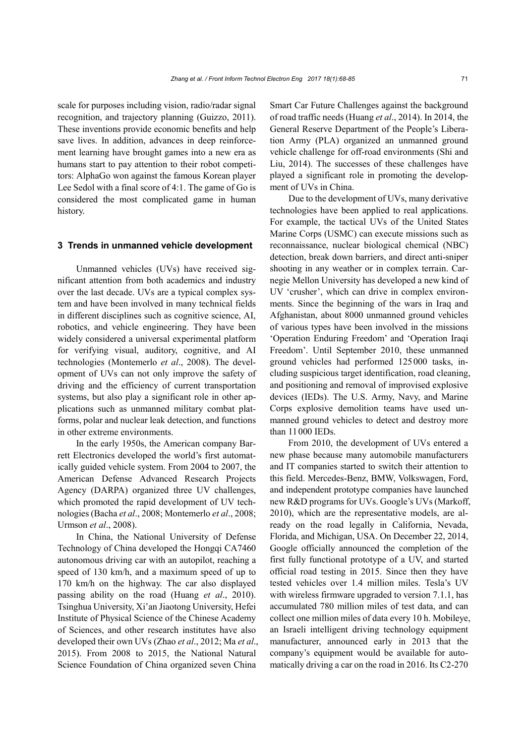scale for purposes including vision, radio/radar signal recognition, and trajectory planning (Guizzo, 2011). These inventions provide economic benefits and help save lives. In addition, advances in deep reinforcement learning have brought games into a new era as humans start to pay attention to their robot competitors: AlphaGo won against the famous Korean player Lee Sedol with a final score of 4:1. The game of Go is considered the most complicated game in human history.

#### **3 Trends in unmanned vehicle development**

Unmanned vehicles (UVs) have received significant attention from both academics and industry over the last decade. UVs are a typical complex system and have been involved in many technical fields in different disciplines such as cognitive science, AI, robotics, and vehicle engineering. They have been widely considered a universal experimental platform for verifying visual, auditory, cognitive, and AI technologies (Montemerlo *et al*., 2008). The development of UVs can not only improve the safety of driving and the efficiency of current transportation systems, but also play a significant role in other applications such as unmanned military combat platforms, polar and nuclear leak detection, and functions in other extreme environments.

In the early 1950s, the American company Barrett Electronics developed the world's first automatically guided vehicle system. From 2004 to 2007, the American Defense Advanced Research Projects Agency (DARPA) organized three UV challenges, which promoted the rapid development of UV technologies (Bacha *et al*., 2008; Montemerlo *et al*., 2008; Urmson *et al*., 2008).

In China, the National University of Defense Technology of China developed the Hongqi CA7460 autonomous driving car with an autopilot, reaching a speed of 130 km/h, and a maximum speed of up to 170 km/h on the highway. The car also displayed passing ability on the road (Huang *et al*., 2010). Tsinghua University, Xi'an Jiaotong University, Hefei Institute of Physical Science of the Chinese Academy of Sciences, and other research institutes have also developed their own UVs (Zhao *et al*., 2012; Ma *et al*., 2015). From 2008 to 2015, the National Natural Science Foundation of China organized seven China

Smart Car Future Challenges against the background of road traffic needs (Huang *et al*., 2014). In 2014, the General Reserve Department of the People's Liberation Army (PLA) organized an unmanned ground vehicle challenge for off-road environments (Shi and Liu, 2014). The successes of these challenges have played a significant role in promoting the development of UVs in China.

Due to the development of UVs, many derivative technologies have been applied to real applications. For example, the tactical UVs of the United States Marine Corps (USMC) can execute missions such as reconnaissance, nuclear biological chemical (NBC) detection, break down barriers, and direct anti-sniper shooting in any weather or in complex terrain. Carnegie Mellon University has developed a new kind of UV 'crusher', which can drive in complex environments. Since the beginning of the wars in Iraq and Afghanistan, about 8000 unmanned ground vehicles of various types have been involved in the missions 'Operation Enduring Freedom' and 'Operation Iraqi Freedom'. Until September 2010, these unmanned ground vehicles had performed 125000 tasks, including suspicious target identification, road cleaning, and positioning and removal of improvised explosive devices (IEDs). The U.S. Army, Navy, and Marine Corps explosive demolition teams have used unmanned ground vehicles to detect and destroy more than 11000 IEDs.

From 2010, the development of UVs entered a new phase because many automobile manufacturers and IT companies started to switch their attention to this field. Mercedes-Benz, BMW, Volkswagen, Ford, and independent prototype companies have launched new R&D programs for UVs. Google's UVs (Markoff, 2010), which are the representative models, are already on the road legally in California, Nevada, Florida, and Michigan, USA. On December 22, 2014, Google officially announced the completion of the first fully functional prototype of a UV, and started official road testing in 2015. Since then they have tested vehicles over 1.4 million miles. Tesla's UV with wireless firmware upgraded to version 7.1.1, has accumulated 780 million miles of test data, and can collect one million miles of data every 10 h. Mobileye, an Israeli intelligent driving technology equipment manufacturer, announced early in 2013 that the company's equipment would be available for automatically driving a car on the road in 2016. Its C2-270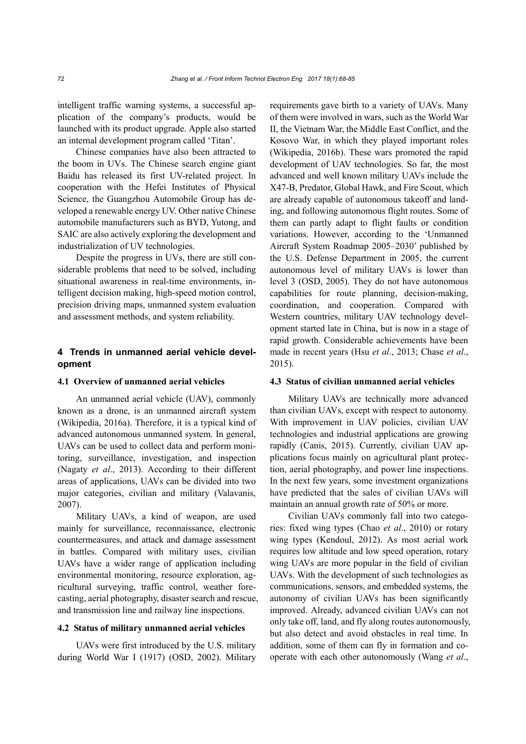intelligent traffic warning systems, a successful application of the company's products, would be launched with its product upgrade. Apple also started an internal development program called 'Titan'.

Chinese companies have also been attracted to the boom in UVs. The Chinese search engine giant Baidu has released its first UV-related project. In cooperation with the Hefei Institutes of Physical Science, the Guangzhou Automobile Group has developed a renewable energy UV. Other native Chinese automobile manufacturers such as BYD, Yutong, and SAIC are also actively exploring the development and industrialization of UV technologies.

Despite the progress in UVs, there are still considerable problems that need to be solved, including situational awareness in real-time environments, intelligent decision making, high-speed motion control, precision driving maps, unmanned system evaluation and assessment methods, and system reliability.

# **4 Trends in unmanned aerial vehicle development**

# **4.1 Overview of unmanned aerial vehicles**

An unmanned aerial vehicle (UAV), commonly known as a drone, is an unmanned aircraft system (Wikipedia, 2016a). Therefore, it is a typical kind of advanced autonomous unmanned system. In general, UAVs can be used to collect data and perform monitoring, surveillance, investigation, and inspection (Nagaty *et al*., 2013). According to their different areas of applications, UAVs can be divided into two major categories, civilian and military (Valavanis, 2007).

Military UAVs, a kind of weapon, are used mainly for surveillance, reconnaissance, electronic countermeasures, and attack and damage assessment in battles. Compared with military uses, civilian UAVs have a wider range of application including environmental monitoring, resource exploration, agricultural surveying, traffic control, weather forecasting, aerial photography, disaster search and rescue, and transmission line and railway line inspections.

#### **4.2 Status of military unmanned aerial vehicles**

UAVs were first introduced by the U.S. military during World War I (1917) (OSD, 2002). Military requirements gave birth to a variety of UAVs. Many of them were involved in wars, such as the World War II, the Vietnam War, the Middle East Conflict, and the Kosovo War, in which they played important roles (Wikipedia, 2016b). These wars promoted the rapid development of UAV technologies. So far, the most advanced and well known military UAVs include the X47-B, Predator, Global Hawk, and Fire Scout, which are already capable of autonomous takeoff and landing, and following autonomous flight routes. Some of them can partly adapt to flight faults or condition variations. However, according to the 'Unmanned Aircraft System Roadmap 2005–2030' published by the U.S. Defense Department in 2005, the current autonomous level of military UAVs is lower than level 3 (OSD, 2005). They do not have autonomous capabilities for route planning, decision-making, coordination, and cooperation. Compared with Western countries, military UAV technology development started late in China, but is now in a stage of rapid growth. Considerable achievements have been made in recent years (Hsu *et al*., 2013; Chase *et al*., 2015).

#### **4.3 Status of civilian unmanned aerial vehicles**

Military UAVs are technically more advanced than civilian UAVs, except with respect to autonomy. With improvement in UAV policies, civilian UAV technologies and industrial applications are growing rapidly (Canis, 2015). Currently, civilian UAV applications focus mainly on agricultural plant protection, aerial photography, and power line inspections. In the next few years, some investment organizations have predicted that the sales of civilian UAVs will maintain an annual growth rate of 50% or more.

Civilian UAVs commonly fall into two categories: fixed wing types (Chao *et al*., 2010) or rotary wing types (Kendoul, 2012). As most aerial work requires low altitude and low speed operation, rotary wing UAVs are more popular in the field of civilian UAVs. With the development of such technologies as communications, sensors, and embedded systems, the autonomy of civilian UAVs has been significantly improved. Already, advanced civilian UAVs can not only take off, land, and fly along routes autonomously, but also detect and avoid obstacles in real time. In addition, some of them can fly in formation and cooperate with each other autonomously (Wang *et al*.,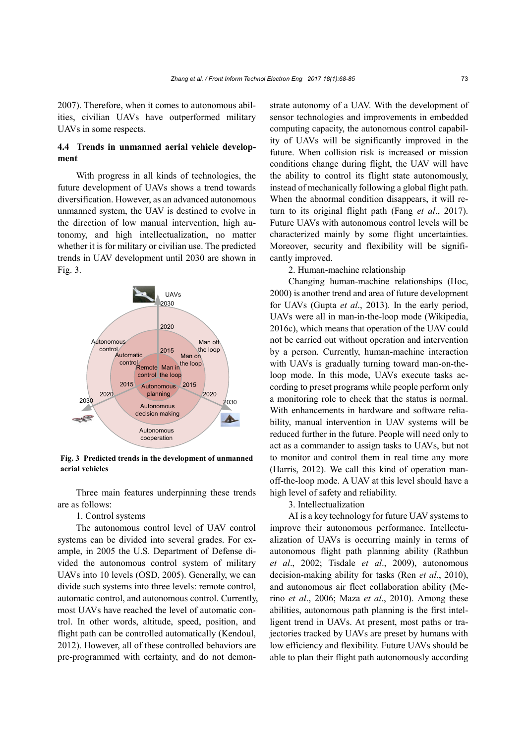2007). Therefore, when it comes to autonomous abilities, civilian UAVs have outperformed military UAVs in some respects.

# **4.4 Trends in unmanned aerial vehicle development**

With progress in all kinds of technologies, the future development of UAVs shows a trend towards diversification. However, as an advanced autonomous unmanned system, the UAV is destined to evolve in the direction of low [manual](javascript:void(0);) [intervention,](javascript:void(0);) high autonomy, and high intellectualization, no matter whether it is for military or civilian use. The predicted trends in UAV development until 2030 are shown in Fig. 3.



**Fig. 3 Predicted trends in the development of unmanned aerial vehicles** 

Three main features underpinning these trends are as follows:

1. Control systems

The autonomous control level of UAV control systems can be divided into several grades. For example, in 2005 the U.S. Department of Defense divided the autonomous control system of military UAVs into 10 levels (OSD, 2005). Generally, we can divide such systems into three levels: remote control, [automatic](javascript:void(0);) [control,](javascript:void(0);) and autonomous control. Currently, most UAVs have reached the level of automatic control. In other words, altitude, speed, position, and flight path can be controlled automatically (Kendoul, 2012). However, all of these controlled behaviors are pre-programmed with certainty, and do not demonstrate autonomy of a UAV. With the development of sensor technologies and improvements in embedded computing capacity, the autonomous control capability of UAVs will be significantly improved in the future. When collision risk is increased or mission conditions change during flight, the UAV will have the ability to control its flight state autonomously, instead of mechanically following a global flight path. When the abnormal condition disappears, it will return to its original flight path (Fang *et al*., 2017). Future UAVs with autonomous control levels will be characterized mainly by some flight uncertainties. Moreover, security and flexibility will be significantly improved.

2. Human-machine relationship

Changing human-machine relationships (Hoc, 2000) is another trend and area of future development for UAVs (Gupta *et al*., 2013). In the early period, UAVs were all in man-in-the-loop mode (Wikipedia, 2016c), which means that operation of the UAV could not be carried out without operation and intervention by a person. Currently, human-machine interaction with UAVs is gradually turning toward man-on-theloop mode. In this mode, UAVs execute tasks according to preset programs while people perform only a monitoring role to check that the status is normal. With enhancements in hardware and software reliability, manual intervention in UAV systems will be reduced further in the future. People will need only to act as a commander to assign tasks to UAVs, but not to monitor and control them in real time any more (Harris, 2012). We call this kind of operation manoff-the-loop mode. A UAV at this level should have a high level of safety and reliability.

3. Intellectualization

AI is a key technology for future UAV systems to improve their autonomous performance. Intellectualization of UAVs is occurring mainly in terms of autonomous flight path planning ability (Rathbun *et al*., 2002; Tisdale *et al*., 2009), autonomous decision-making ability for tasks (Ren *et al*., 2010), and autonomous air fleet collaboration ability (Merino *et al*., 2006; Maza *et al*., 2010). Among these abilities, autonomous path planning is the first intelligent trend in UAVs. At present, most paths or trajectories tracked by UAVs are preset by humans with low efficiency and flexibility. Future UAVs should be able to plan their flight path autonomously according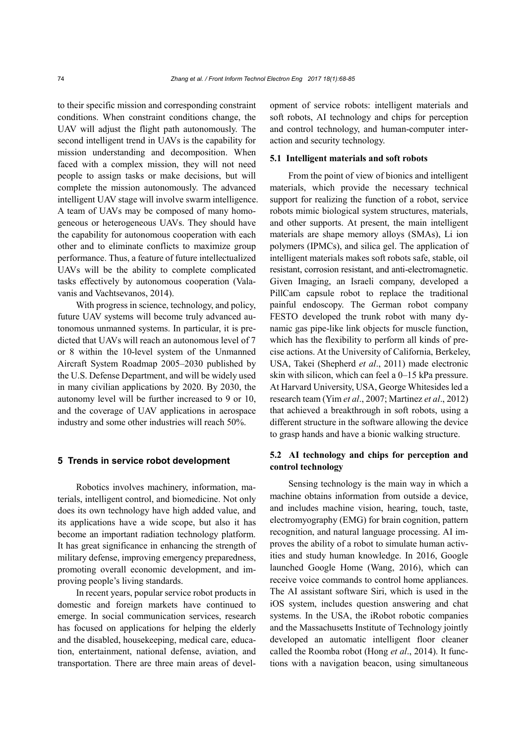to their specific mission and corresponding constraint conditions. When constraint conditions change, the UAV will adjust the flight path autonomously. The second intelligent trend in UAVs is the capability for mission understanding and decomposition. When faced with a complex mission, they will not need people to assign tasks or make decisions, but will complete the mission autonomously. The advanced intelligent UAV stage will involve swarm intelligence. A team of UAVs may be composed of many homogeneous or heterogeneous UAVs. They should have the capability for autonomous cooperation with each other and to eliminate conflicts to maximize group performance. Thus, a feature of future intellectualized UAVs will be the ability to complete complicated tasks effectively by autonomous cooperation (Valavanis and Vachtsevanos, 2014).

With progress in science, technology, and policy, future UAV systems will become truly advanced autonomous unmanned systems. In particular, it is predicted that UAVs will reach an autonomous level of 7 or 8 within the 10-level system of the Unmanned Aircraft System Roadmap 2005–2030 published by the U.S. Defense Department, and will be widely used in many civilian applications by 2020. By 2030, the autonomy level will be further increased to 9 or 10, and the coverage of UAV applications in aerospace industry and some other industries will reach 50%.

## **5 Trends in service robot development**

Robotics involves machinery, information, materials, intelligent control, and biomedicine. Not only does its own technology have high added value, and its applications have a wide scope, but also it has become an important radiation technology platform. It has great significance in enhancing the strength of military defense, improving emergency preparedness, promoting overall economic development, and improving people's living standards.

In recent years, popular service robot products in domestic and foreign markets have continued to emerge. In social communication services, research has focused on applications for helping the elderly and the disabled, housekeeping, medical care, education, entertainment, national defense, aviation, and transportation. There are three main areas of development of service robots: intelligent materials and soft robots, AI technology and chips for perception and control technology, and human-computer interaction and security technology.

# **5.1 Intelligent materials and soft robots**

From the point of view of bionics and intelligent materials, which provide the necessary technical support for realizing the function of a robot, service robots mimic biological system structures, materials, and other supports. At present, the main intelligent materials are shape memory alloys (SMAs), Li ion polymers (IPMCs), and silica gel. The application of intelligent materials makes soft robots safe, stable, oil resistant, corrosion resistant, and anti-electromagnetic. Given Imaging, an Israeli company, developed a PillCam capsule robot to replace the traditional painful endoscopy. The German robot company FESTO developed the trunk robot with many dynamic gas pipe-like link objects for muscle function, which has the flexibility to perform all kinds of precise actions. At the University of California, Berkeley, USA, Takei (Shepherd *et al*., 2011) made electronic skin with silicon, which can feel a 0–15 kPa pressure. At Harvard University, USA, George Whitesides led a research team (Yim *et al*., 2007; Martinez *et al*., 2012) that achieved a breakthrough in soft robots, using a different structure in the software allowing the device to grasp hands and have a bionic walking structure.

# **5.2 AI technology and chips for perception and control technology**

Sensing technology is the main way in which a machine obtains information from outside a device, and includes machine vision, hearing, touch, taste, electromyography (EMG) for brain cognition, pattern recognition, and natural language processing. AI improves the ability of a robot to simulate human activities and study human knowledge. In 2016, Google launched Google Home (Wang, 2016), which can receive voice commands to control home appliances. The AI assistant software Siri, which is used in the iOS system, includes question answering and chat systems. In the USA, the iRobot robotic companies and the Massachusetts Institute of Technology jointly developed an automatic intelligent floor cleaner called the Roomba robot (Hong *et al*., 2014). It functions with a navigation beacon, using simultaneous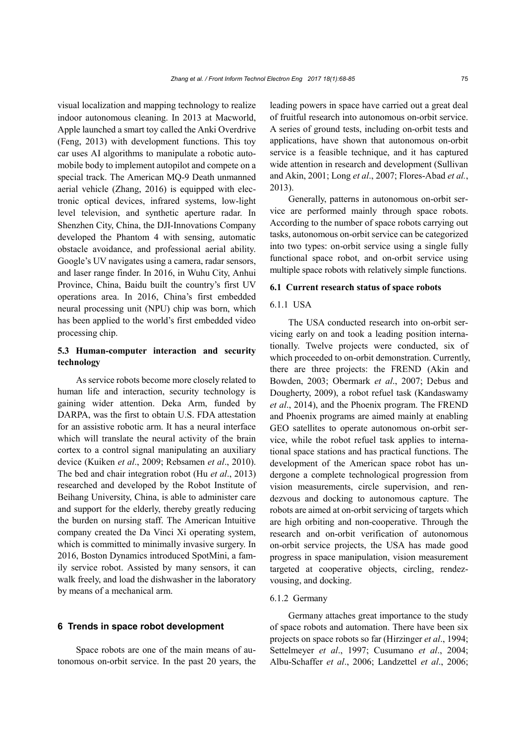visual localization and mapping technology to realize indoor autonomous cleaning. In 2013 at Macworld, Apple launched a smart toy called the Anki Overdrive (Feng, 2013) with development functions. This toy car uses AI algorithms to manipulate a robotic automobile body to implement autopilot and compete on a special track. The American MQ-9 Death unmanned aerial vehicle (Zhang, 2016) is equipped with electronic optical devices, infrared systems, low-light level television, and synthetic aperture radar. In Shenzhen City, China, the DJI-Innovations Company developed the Phantom 4 with sensing, automatic obstacle avoidance, and professional aerial ability. Google's UV navigates using a camera, radar sensors, and laser range finder. In 2016, in Wuhu City, Anhui Province, China, Baidu built the country's first UV operations area. In 2016, China's first embedded neural processing unit (NPU) chip was born, which has been applied to the world's first embedded video processing chip.

# **5.3 Human-computer interaction and security technology**

As service robots become more closely related to human life and interaction, security technology is gaining wider attention. Deka Arm, funded by DARPA, was the first to obtain U.S. FDA attestation for an assistive robotic arm. It has a neural interface which will translate the neural activity of the brain cortex to a control signal manipulating an auxiliary device (Kuiken *et al*., 2009; Rebsamen *et al*., 2010). The bed and chair integration robot (Hu *et al*., 2013) researched and developed by the Robot Institute of Beihang University, China, is able to administer care and support for the elderly, thereby greatly reducing the burden on nursing staff. The American Intuitive company created the Da Vinci Xi operating system, which is committed to minimally invasive surgery. In 2016, Boston Dynamics introduced SpotMini, a family service robot. Assisted by many sensors, it can walk freely, and load the dishwasher in the laboratory by means of a mechanical arm.

## **6 Trends in space robot development**

Space robots are one of the main means of autonomous on-orbit service. In the past 20 years, the leading powers in space have carried out a great deal of fruitful research into autonomous on-orbit service. A series of ground tests, including on-orbit tests and applications, have shown that autonomous on-orbit service is a feasible technique, and it has captured wide attention in research and development (Sullivan and Akin, 2001; Long *et al*., 2007; Flores-Abad *et al.*, 2013).

Generally, patterns in autonomous on-orbit service are performed mainly through space robots. According to the number of space robots carrying out tasks, autonomous on-orbit service can be categorized into two types: on-orbit service using a single fully functional space robot, and on-orbit service using multiple space robots with relatively simple functions.

## **6.1 Current research status of space robots**

## 6.1.1 USA

The USA conducted research into on-orbit servicing early on and took a leading position internationally. Twelve projects were conducted, six of which proceeded to on-orbit demonstration. Currently, there are three projects: the FREND (Akin and Bowden, 2003; Obermark *et al*., 2007; Debus and Dougherty, 2009), a robot refuel task (Kandaswamy *et al*., 2014), and the Phoenix program. The FREND and Phoenix programs are aimed mainly at enabling GEO satellites to operate autonomous on-orbit service, while the robot refuel task applies to international space stations and has practical functions. The development of the American space robot has undergone a complete technological progression from vision measurements, circle supervision, and rendezvous and docking to autonomous capture. The robots are aimed at on-orbit servicing of targets which are high orbiting and non-cooperative. Through the research and on-orbit verification of autonomous on-orbit service projects, the USA has made good progress in space manipulation, vision measurement targeted at cooperative objects, circling, rendezvousing, and docking.

#### 6.1.2 Germany

Germany attaches great importance to the study of space robots and automation. There have been six projects on space robots so far (Hirzinger *et al*., 1994; Settelmeyer *et al*., 1997; Cusumano *et al*., 2004; Albu-Schaffer *et al*., 2006; Landzettel *et al*., 2006;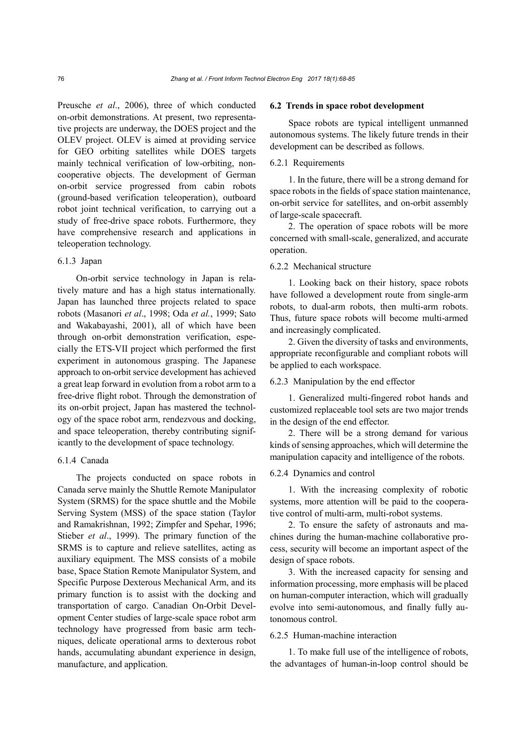Preusche *et al*., 2006), three of which conducted on-orbit demonstrations. At present, two representative projects are underway, the DOES project and the OLEV project. OLEV is aimed at providing service for GEO orbiting satellites while DOES targets mainly technical verification of low-orbiting, noncooperative objects. The development of German on-orbit service progressed from cabin robots (ground-based verification teleoperation), outboard robot joint technical verification, to carrying out a study of free-drive space robots. Furthermore, they have comprehensive research and applications in teleoperation technology.

# 6.1.3 Japan

On-orbit service technology in Japan is relatively mature and has a high status internationally. Japan has launched three projects related to space robots (Masanori *et al*., 1998; Oda *et al.*, 1999; Sato and Wakabayashi, 2001), all of which have been through on-orbit demonstration verification, especially the ETS-VII project which performed the first experiment in autonomous grasping. The Japanese approach to on-orbit service development has achieved a great leap forward in evolution from a robot arm to a free-drive flight robot. Through the demonstration of its on-orbit project, Japan has mastered the technology of the space robot arm, rendezvous and docking, and space teleoperation, thereby contributing significantly to the development of space technology.

# 6.1.4 Canada

The projects conducted on space robots in Canada serve mainly the Shuttle Remote Manipulator System (SRMS) for the space shuttle and the Mobile Serving System (MSS) of the space station (Taylor and Ramakrishnan, 1992; Zimpfer and Spehar, 1996; Stieber *et al*., 1999). The primary function of the SRMS is to capture and relieve satellites, acting as auxiliary equipment. The MSS consists of a mobile base, Space Station Remote Manipulator System, and Specific Purpose Dexterous Mechanical Arm, and its primary function is to assist with the docking and transportation of cargo. Canadian On-Orbit Development Center studies of large-scale space robot arm technology have progressed from basic arm techniques, delicate operational arms to dexterous robot hands, accumulating abundant experience in design, manufacture, and application.

#### **6.2 Trends in space robot development**

Space robots are typical intelligent unmanned autonomous systems. The likely future trends in their development can be described as follows.

# 6.2.1 Requirements

1. In the future, there will be a strong demand for space robots in the fields of space station maintenance, on-orbit service for satellites, and on-orbit assembly of large-scale spacecraft.

2. The operation of space robots will be more concerned with small-scale, generalized, and accurate operation.

# 6.2.2 Mechanical structure

1. Looking back on their history, space robots have followed a development route from single-arm robots, to dual-arm robots, then multi-arm robots. Thus, future space robots will become multi-armed and increasingly complicated.

2. Given the diversity of tasks and environments, appropriate reconfigurable and compliant robots will be applied to each workspace.

## 6.2.3 Manipulation by the end effector

1. Generalized multi-fingered robot hands and customized replaceable tool sets are two major trends in the design of the end effector.

2. There will be a strong demand for various kinds of sensing approaches, which will determine the manipulation capacity and intelligence of the robots.

#### 6.2.4 Dynamics and control

1. With the increasing complexity of robotic systems, more attention will be paid to the cooperative control of multi-arm, multi-robot systems.

2. To ensure the safety of astronauts and machines during the human-machine collaborative process, security will become an important aspect of the design of space robots.

3. With the increased capacity for sensing and information processing, more emphasis will be placed on human-computer interaction, which will gradually evolve into semi-autonomous, and finally fully autonomous control.

## 6.2.5 Human-machine interaction

1. To make full use of the intelligence of robots, the advantages of human-in-loop control should be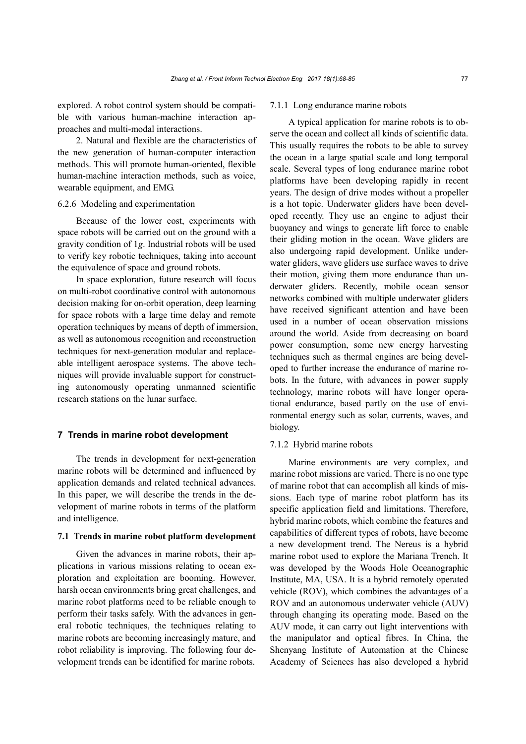explored. A robot control system should be compatible with various human-machine interaction approaches and multi-modal interactions.

2. Natural and flexible are the characteristics of the new generation of human-computer interaction methods. This will promote human-oriented, flexible human-machine interaction methods, such as voice, wearable equipment, and EMG.

# 6.2.6 Modeling and experimentation

Because of the lower cost, experiments with space robots will be carried out on the ground with a gravity condition of 1*g*. Industrial robots will be used to verify key robotic techniques, taking into account the equivalence of space and ground robots.

In space exploration, future research will focus on multi-robot coordinative control with autonomous decision making for on-orbit operation, deep learning for space robots with a large time delay and remote operation techniques by means of depth of immersion, as well as autonomous recognition and reconstruction techniques for next-generation modular and replaceable intelligent aerospace systems. The above techniques will provide invaluable support for constructing autonomously operating unmanned scientific research stations on the lunar surface.

# **7 Trends in marine robot development**

The trends in development for next-generation marine robots will be determined and influenced by application demands and related technical advances. In this paper, we will describe the trends in the development of marine robots in terms of the platform and intelligence.

## **7.1 Trends in marine robot platform development**

Given the advances in marine robots, their applications in various missions relating to ocean exploration and exploitation are booming. However, harsh ocean environments bring great challenges, and marine robot platforms need to be reliable enough to perform their tasks safely. With the advances in general robotic techniques, the techniques relating to marine robots are becoming increasingly mature, and robot reliability is improving. The following four development trends can be identified for marine robots.

#### 7.1.1 Long endurance marine robots

A typical application for marine robots is to observe the ocean and collect all kinds of scientific data. This usually requires the robots to be able to survey the ocean in a large spatial scale and long temporal scale. Several types of long endurance marine robot platforms have been developing rapidly in recent years. The design of drive modes without a propeller is a hot topic. Underwater gliders have been developed recently. They use an engine to adjust their buoyancy and wings to generate lift force to enable their gliding motion in the ocean. Wave gliders are also undergoing rapid development. Unlike underwater gliders, wave gliders use surface waves to drive their motion, giving them more endurance than underwater gliders. Recently, mobile ocean sensor networks combined with multiple underwater gliders have received significant attention and have been used in a number of ocean observation missions around the world. Aside from decreasing on board power consumption, some new energy harvesting techniques such as thermal engines are being developed to further increase the endurance of marine robots. In the future, with advances in power supply technology, marine robots will have longer operational endurance, based partly on the use of environmental energy such as solar, currents, waves, and biology.

## 7.1.2 Hybrid marine robots

Marine environments are very complex, and marine robot missions are varied. There is no one type of marine robot that can accomplish all kinds of missions. Each type of marine robot platform has its specific application field and limitations. Therefore, hybrid marine robots, which combine the features and capabilities of different types of robots, have become a new development trend. The Nereus is a hybrid marine robot used to explore the Mariana Trench. It was developed by the Woods Hole Oceanographic Institute, MA, USA. It is a hybrid remotely operated vehicle (ROV), which combines the advantages of a ROV and an autonomous underwater vehicle (AUV) through changing its operating mode. Based on the AUV mode, it can carry out light interventions with the manipulator and optical fibres. In China, the Shenyang Institute of Automation at the Chinese Academy of Sciences has also developed a hybrid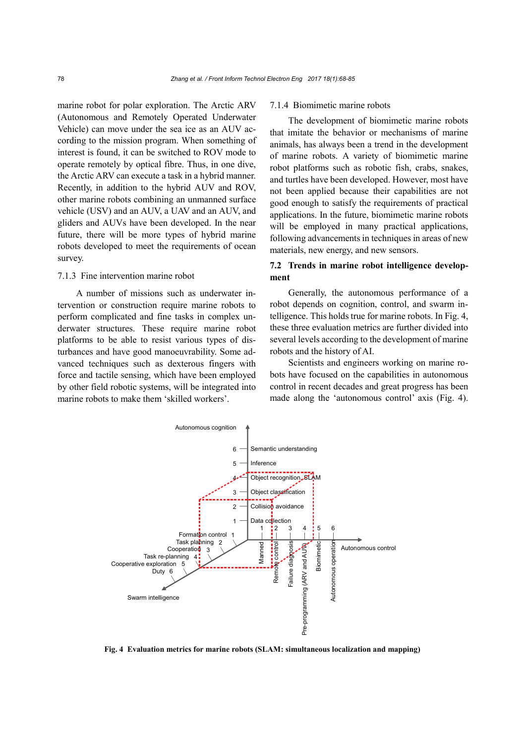marine robot for polar exploration. The Arctic ARV (Autonomous and Remotely Operated Underwater Vehicle) can move under the sea ice as an AUV according to the mission program. When something of interest is found, it can be switched to ROV mode to operate remotely by optical fibre. Thus, in one dive, the Arctic ARV can execute a task in a hybrid manner. Recently, in addition to the hybrid AUV and ROV, other marine robots combining an unmanned surface vehicle (USV) and an AUV, a UAV and an AUV, and gliders and AUVs have been developed. In the near future, there will be more types of hybrid marine robots developed to meet the requirements of ocean survey.

## 7.1.3 Fine intervention marine robot

A number of missions such as underwater intervention or construction require marine robots to perform complicated and fine tasks in complex underwater structures. These require marine robot platforms to be able to resist various types of disturbances and have good manoeuvrability. Some advanced techniques such as dexterous fingers with force and tactile sensing, which have been employed by other field robotic systems, will be integrated into marine robots to make them 'skilled workers'.

## 7.1.4 Biomimetic marine robots

The development of biomimetic marine robots that imitate the behavior or mechanisms of marine animals, has always been a trend in the development of marine robots. A variety of [biomimetic](http://www.jukuu.com/show-biomimetic-0.html) marine robot platforms such as robotic fish, crabs, snakes, and turtles have been developed. However, most have not been applied because their capabilities are not good enough to satisfy the requirements of practical applications. In the future, biomimetic marine robots will be employed in many practical applications, following advancements in techniques in areas of new materials, new energy, and new sensors.

# **7.2 Trends in marine robot intelligence development**

Generally, the autonomous performance of a robot depends on cognition, control, and swarm intelligence. This holds true for marine robots. In Fig. 4, these three evaluation metrics are further divided into several levels according to the development of marine robots and the history of AI.

Scientists and engineers working on marine robots have focused on the capabilities in autonomous control in recent decades and great progress has been made along the 'autonomous control' axis (Fig. 4).



**Fig. 4 Evaluation metrics for marine robots (SLAM: simultaneous localization and mapping)**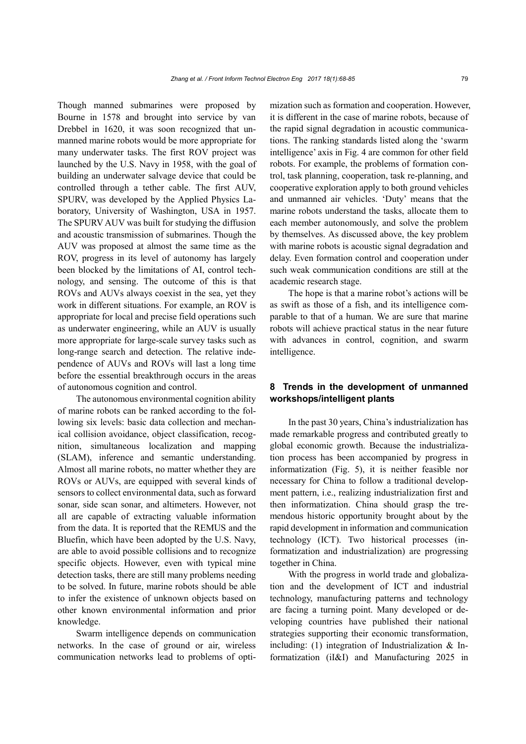Though manned submarines were proposed by Bourne in 1578 and brought into service by van Drebbel in 1620, it was soon recognized that unmanned marine robots would be more appropriate for many underwater tasks. The first ROV project was launched by the U.S. Navy in 1958, with the goal of building an underwater salvage device that could be controlled through a tether cable. The first AUV, SPURV, was developed by the Applied Physics Laboratory, University of Washington, USA in 1957. The SPURV AUV was built for studying the diffusion and acoustic transmission of submarines. Though the AUV was proposed at almost the same time as the ROV, progress in its level of autonomy has largely been blocked by the limitations of AI, control technology, and sensing. The outcome of this is that ROVs and AUVs always coexist in the sea, yet they work in different situations. For example, an ROV is appropriate for local and precise field operations such as underwater engineering, while an AUV is usually more appropriate for large-scale survey tasks such as long-range search and detection. The relative independence of AUVs and ROVs will last a long time before the essential breakthrough occurs in the areas of autonomous cognition and control.

The autonomous environmental cognition ability of marine robots can be ranked according to the following six levels: basic data collection and mechanical collision avoidance, object classification, recognition, simultaneous localization and mapping (SLAM), inference and semantic understanding. Almost all marine robots, no matter whether they are ROVs or AUVs, are equipped with several kinds of sensors to collect environmental data, such as forward sonar, side scan sonar, and altimeters. However, not all are capable of extracting valuable information from the data. It is reported that the REMUS and the Bluefin, which have been adopted by the U.S. Navy, are able to avoid possible collisions and to recognize specific objects. However, even with typical mine detection tasks, there are still many problems needing to be solved. In future, marine robots should be able to infer the existence of unknown objects based on other known environmental information and prior knowledge.

Swarm intelligence depends on communication networks. In the case of ground or air, wireless communication networks lead to problems of optimization such as formation and cooperation. However, it is different in the case of marine robots, because of the rapid signal degradation in acoustic communications. The ranking standards listed along the 'swarm intelligence' axis in Fig. 4 are common for other field robots. For example, the problems of formation control, task planning, cooperation, task re-planning, and cooperative exploration apply to both ground vehicles and unmanned air vehicles. 'Duty' means that the marine robots understand the tasks, allocate them to each member autonomously, and solve the problem by themselves. As discussed above, the key problem with marine robots is acoustic signal degradation and delay. Even formation control and cooperation under such weak communication conditions are still at the academic research stage.

The hope is that a marine robot's actions will be as swift as those of a fish, and its intelligence comparable to that of a human. We are sure that marine robots will achieve practical status in the near future with advances in control, cognition, and swarm intelligence.

# **8 Trends in the development of unmanned workshops/intelligent plants**

In the past 30 years, China's industrialization has made remarkable progress and contributed greatly to global economic growth. Because the industrialization process has been accompanied by progress in informatization (Fig. 5), it is neither feasible nor necessary for China to follow a traditional development pattern, i.e., realizing industrialization first and then informatization. China should grasp the tremendous historic opportunity brought about by the rapid development in information and communication technology (ICT). Two historical processes (informatization and industrialization) are progressing together in China.

With the progress in world trade and globalization and the development of ICT and industrial technology, manufacturing patterns and technology are facing a turning point. Many developed or developing countries have published their national strategies supporting their economic transformation, including: (1) integration of Industrialization & Informatization (iI&I) and Manufacturing 2025 in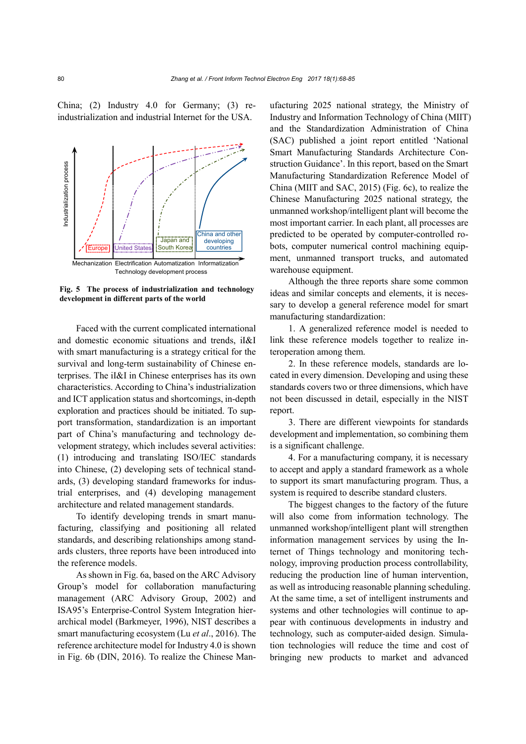China; (2) Industry 4.0 for Germany; (3) reindustrialization and industrial Internet for the USA.



**Fig. 5 The process of industrialization and technology** 

Faced with the current complicated international and domestic economic situations and trends, iI&I with smart manufacturing is a strategy critical for the survival and long-term sustainability of Chinese enterprises. The iI&I in Chinese enterprises has its own characteristics. According to China's industrialization and ICT application status and shortcomings, in-depth exploration and practices should be initiated. To support transformation, standardization is an important part of China's manufacturing and technology development strategy, which includes several activities: (1) introducing and translating ISO/IEC standards into Chinese, (2) developing sets of technical standards, (3) developing standard frameworks for industrial enterprises, and (4) developing management architecture and related management standards.

To identify developing trends in smart manufacturing, classifying and positioning all related standards, and describing relationships among standards clusters, three reports have been introduced into the reference models.

As shown in Fig. 6a, based on the ARC Advisory Group's model for collaboration manufacturing management (ARC Advisory Group, 2002) and ISA95's Enterprise-Control System Integration hierarchical model (Barkmeyer, 1996), NIST describes a smart manufacturing ecosystem (Lu *et al*., 2016). The reference architecture model for Industry 4.0 is shown in Fig. 6b (DIN, 2016). To realize the Chinese Manufacturing 2025 national strategy, the Ministry of Industry and Information Technology of China (MIIT) and the Standardization Administration of China (SAC) published a joint report entitled 'National Smart Manufacturing Standards Architecture Construction Guidance'. In this report, based on the Smart Manufacturing Standardization Reference Model of China (MIIT and SAC, 2015) (Fig. 6c), to realize the Chinese Manufacturing 2025 national strategy, the unmanned workshop/intelligent plant will become the most important carrier. In each plant, all processes are predicted to be operated by computer-controlled robots, computer numerical control machining equipment, unmanned transport trucks, and automated warehouse equipment.

Although the three reports share some common ideas and similar concepts and elements, it is necessary to develop a general reference model for smart manufacturing standardization:

1. A generalized reference model is needed to link these reference models together to realize interoperation among them.

2. In these reference models, standards are located in every dimension. Developing and using these standards covers two or three dimensions, which have not been discussed in detail, especially in the NIST report.

3. There are different viewpoints for standards development and implementation, so combining them is a significant challenge.

4. For a manufacturing company, it is necessary to accept and apply a standard framework as a whole to support its smart manufacturing program. Thus, a system is required to describe standard clusters.

The biggest changes to the factory of the future will also come from information technology. The unmanned workshop/intelligent plant will strengthen information management services by using the Internet of Things technology and monitoring technology, improving production process controllability, reducing the production line of human intervention, as well as introducing reasonable planning scheduling. At the same time, a set of intelligent instruments and systems and other technologies will continue to appear with continuous developments in industry and technology, such as computer-aided design. Simulation technologies will reduce the time and cost of bringing new products to market and advanced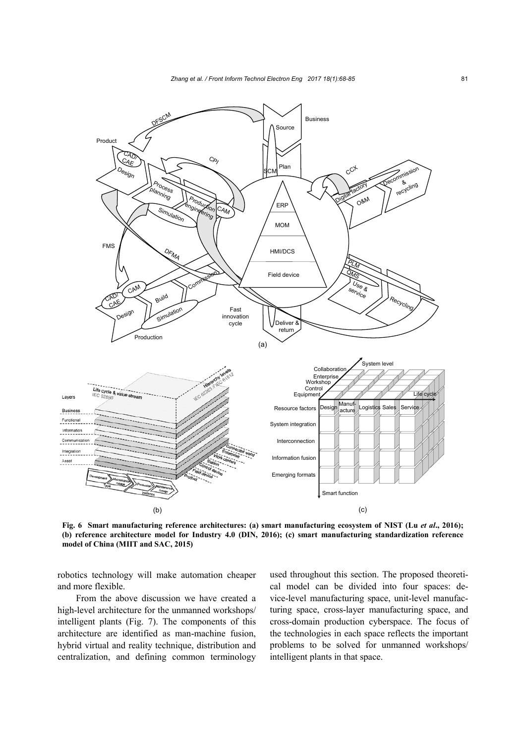

**Fig. 6 Smart manufacturing reference architectures: (a) smart manufacturing ecosystem of NIST (Lu** *et al***., 2016); (b) reference architecture model for Industry 4.0 (DIN, 2016); (c) smart manufacturing standardization reference model of China (MIIT and SAC, 2015)**

robotics technology will make automation cheaper and more flexible.

From the above discussion we have created a high-level architecture for the unmanned workshops/ intelligent plants (Fig. 7). The components of this architecture are identified as man-machine fusion, hybrid virtual and reality technique, distribution and centralization, and defining common terminology

used throughout this section. The proposed theoretical model can be divided into four spaces: device-level manufacturing space, unit-level manufacturing space, cross-layer manufacturing space, and cross-domain production cyberspace. The focus of the technologies in each space reflects the important problems to be solved for unmanned workshops/ intelligent plants in that space.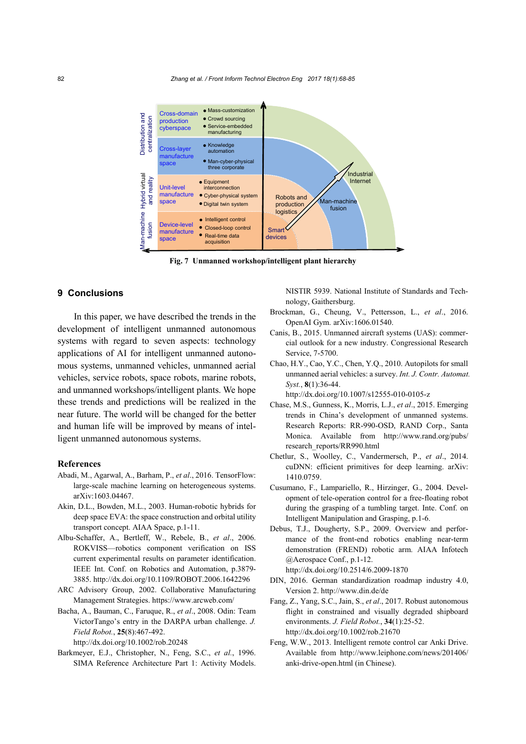

**Fig. 7 Unmanned workshop/intelligent plant hierarchy**

# **9 Conclusions**

In this paper, we have described the trends in the development of intelligent unmanned autonomous systems with regard to seven aspects: technology applications of AI for intelligent unmanned autonomous systems, unmanned vehicles, unmanned aerial vehicles, service robots, space robots, marine robots, and unmanned workshops/intelligent plants. We hope these trends and predictions will be realized in the near future. The world will be changed for the better and human life will be improved by means of intelligent unmanned autonomous systems.

#### **References**

- Abadi, M., Agarwal, A., Barham, P., *et al*., 2016. TensorFlow: large-scale machine learning on heterogeneous systems. arXiv:1603.04467.
- Akin, D.L., Bowden, M.L., 2003. Human-robotic hybrids for deep space EVA: the space construction and orbital utility transport concept. AIAA Space, p.1-11.
- Albu-Schaffer, A., Bertleff, W., Rebele, B., *et al*., 2006. ROKVISS—robotics component verification on ISS current experimental results on parameter identification. IEEE Int. Conf. on Robotics and Automation, p.3879- 3885. http://dx.doi.org/10.1109/ROBOT.2006.1642296
- ARC Advisory Group, 2002. Collaborative Manufacturing Management Strategies. https://www.arcweb.com/
- Bacha, A., Bauman, C., Faruque, R., *et al*., 2008. Odin: Team VictorTango's entry in the DARPA urban challenge. *J. Field Robot.*, **25**(8):467-492.

http://dx.doi.org/10.1002/rob.20248

Barkmeyer, E.J., Christopher, N., Feng, S.C., *et al.*, 1996. SIMA Reference Architecture Part 1: Activity Models. NISTIR 5939. National Institute of Standards and Technology, Gaithersburg.

- Brockman, G., Cheung, V., Pettersson, L., *et al*., 2016. OpenAI Gym. arXiv:1606.01540.
- Canis, B., 2015. Unmanned aircraft systems (UAS): commercial outlook for a new industry. Congressional Research Service, 7-5700.
- Chao, H.Y., Cao, Y.C., Chen, Y.Q., 2010. Autopilots for small unmanned aerial vehicles: a survey. *Int. J. Contr. Automat. Syst.*, **8**(1):36-44.

http://dx.doi.org/10.1007/s12555-010-0105-z

- Chase, M.S., Gunness, K., Morris, L.J., *et al*., 2015. Emerging trends in China's development of unmanned systems. Research Reports: RR-990-OSD, RAND Corp., Santa Monica. Available from http://www.rand.org/pubs/ research\_reports/RR990.html
- Chetlur, S., Woolley, C., Vandermersch, P., *et al*., 2014. cuDNN: efficient primitives for deep learning. arXiv: 1410.0759.
- Cusumano, F., Lampariello, R., Hirzinger, G., 2004. Development of tele-operation control for a free-floating robot during the grasping of a tumbling target. Inte. Conf. on Intelligent Manipulation and Grasping, p.1-6.
- Debus, T.J., Dougherty, S.P., 2009. Overview and performance of the front-end robotics enabling near-term demonstration (FREND) robotic arm. AIAA Infotech @Aerospace Conf., p.1-12.
	- http://dx.doi.org/10.2514/6.2009-1870
- DIN, 2016. German standardization roadmap industry 4.0, Version 2. http://www.din.de/de
- Fang, Z., Yang, S.C., Jain, S., *et al*., 2017. Robust autonomous flight in constrained and visually degraded shipboard environments. *J. Field Robot.*, **34**(1):25-52. http://dx.doi.org/10.1002/rob.21670
- Feng, W.W., 2013. Intelligent remote control car Anki Drive. Available from http://www.leiphone.com/news/201406/ anki-drive-open.html (in Chinese).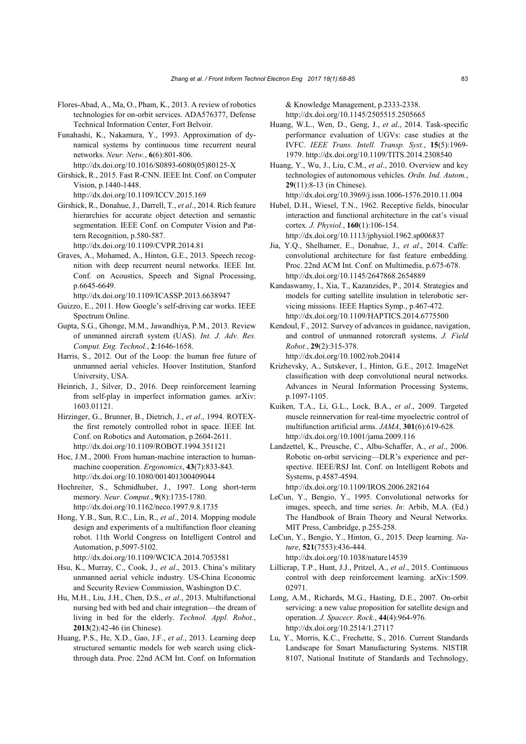- Flores-Abad, A., Ma, O., Pham, K., 2013. A review of robotics technologies for on-orbit services. ADA576377, Defense Technical Information Center, Fort Belvoir.
- Funahashi, K., Nakamura, Y., 1993. Approximation of dynamical systems by continuous time recurrent neural networks. *Neur. Netw.*, **6**(6):801-806.

http://dx.doi.org/10.1016/S0893-6080(05)80125-X

Girshick, R., 2015. Fast R-CNN. IEEE Int. Conf. on Computer Vision, p.1440-1448.

http://dx.doi.org/10.1109/ICCV.2015.169

Girshick, R., Donahue, J., Darrell, T., *et al*., 2014. Rich feature hierarchies for accurate object detection and semantic segmentation. IEEE Conf. on Computer Vision and Pattern Recognition, p.580-587.

http://dx.doi.org/10.1109/CVPR.2014.81

Graves, A., Mohamed, A., Hinton, G.E., 2013. Speech recognition with deep recurrent neural networks. IEEE Int. Conf. on Acoustics, Speech and Signal Processing, p.6645-6649.

http://dx.doi.org/10.1109/ICASSP.2013.6638947

- Guizzo, E., 2011. How Google's self-driving car works. IEEE Spectrum Online.
- Gupta, S.G., Ghonge, M.M., Jawandhiya, P.M., 2013. Review of unmanned aircraft system (UAS). *Int. J. Adv. Res. Comput. Eng. Technol.*, **2**:1646-1658.
- Harris, S., 2012. Out of the Loop: the human free future of unmanned aerial vehicles. Hoover Institution, Stanford University, USA.
- Heinrich, J., Silver, D., 2016. Deep reinforcement learning from self-play in imperfect information games. arXiv: 1603.01121.
- Hirzinger, G., Brunner, B., Dietrich, J., *et al*., 1994. ROTEXthe first remotely controlled robot in space. IEEE Int. Conf. on Robotics and Automation, p.2604-2611. http://dx.doi.org/10.1109/ROBOT.1994.351121

Hoc, J.M., 2000. From human-machine interaction to humanmachine cooperation. *Ergonomics*, **43**(7):833-843. http://dx.doi.org/10.1080/001401300409044

Hochreiter, S., Schmidhuber, J., 1997. Long short-term memory. *Neur. Comput.*, **9**(8):1735-1780. http://dx.doi.org/10.1162/neco.1997.9.8.1735

Hong, Y.B., Sun, R.C., Lin, R., *et al*., 2014. Mopping module design and experiments of a multifunction floor cleaning robot. 11th World Congress on Intelligent Control and Automation, p.5097-5102. http://dx.doi.org/10.1109/WCICA.2014.7053581

- Hsu, K., Murray, C., Cook, J., *et al*., 2013. China's military unmanned aerial vehicle industry. US-China Economic and Security Review Commission, Washington D.C.
- Hu, M.H., Liu, J.H., Chen, D.S., *et al*., 2013. Multifunctional nursing bed with bed and chair integration—the dream of living in bed for the elderly. *Technol. Appl. Robot.*, **2013**(2):42-46 (in Chinese).
- Huang, P.S., He, X.D., Gao, J.F., *et al*., 2013. Learning deep structured semantic models for web search using clickthrough data. Proc. 22nd ACM Int. Conf. on Information

& Knowledge Management, p.2333-2338. http://dx.doi.org/10.1145/2505515.2505665

- Huang, W.L., Wen, D., Geng, J., *et al*., 2014. Task-specific performance evaluation of UGVs: case studies at the IVFC. *IEEE Trans. Intell. Transp. Syst.*, **15**(5):1969- 1979. http://dx.doi.org/10.1109/TITS.2014.2308540
- Huang, Y., Wu, J., Liu, C.M., *et al*., 2010. Overview and key technologies of autonomous vehicles. *Ordn. Ind. Autom.*, **29**(11):8-13 (in Chinese).

http://dx.doi.org/10.3969/j.issn.1006-1576.2010.11.004

Hubel, D.H., Wiesel, T.N., 1962. Receptive fields, binocular interaction and functional architecture in the cat's visual cortex. *J. Physiol.*, **160**(1):106-154. http://dx.doi.org/10.1113/jphysiol.1962.sp006837

Jia, Y.Q., Shelhamer, E., Donahue, J., *et al*., 2014. Caffe: convolutional architecture for fast feature embedding. Proc. 22nd ACM Int. Conf. on Multimedia, p.675-678. http://dx.doi.org/10.1145/2647868.2654889

Kandaswamy, I., Xia, T., Kazanzides, P., 2014. Strategies and models for cutting satellite insulation in telerobotic servicing missions. IEEE Haptics Symp., p.467-472. http://dx.doi.org/10.1109/HAPTICS.2014.6775500

Kendoul, F., 2012. Survey of advances in guidance, navigation, and control of unmanned rotorcraft systems. *J. Field Robot.*, **29**(2):315-378.

http://dx.doi.org/10.1002/rob.20414

- Krizhevsky, A., Sutskever, I., Hinton, G.E., 2012. ImageNet classification with deep convolutional neural networks. Advances in Neural Information Processing Systems, p.1097-1105.
- Kuiken, T.A., Li, G.L., Lock, B.A., *et al*., 2009. Targeted muscle reinnervation for real-time myoelectric control of multifunction artificial arms. *JAMA*, **301**(6):619-628. http://dx.doi.org/10.1001/jama.2009.116

Landzettel, K., Preusche, C., Albu-Schaffer, A., *et al*., 2006. Robotic on-orbit servicing—DLR's experience and perspective. IEEE/RSJ Int. Conf. on Intelligent Robots and Systems, p.4587-4594. http://dx.doi.org/10.1109/IROS.2006.282164

LeCun, Y., Bengio, Y., 1995. Convolutional networks for images, speech, and time series. *In*: Arbib, M.A. (Ed.) The Handbook of Brain Theory and Neural Networks. MIT Press, Cambridge, p.255-258.

LeCun, Y., Bengio, Y., Hinton, G., 2015. Deep learning. *Nature*, **521**(7553):436-444. http://dx.doi.org/10.1038/nature14539

- Lillicrap, T.P., Hunt, J.J., Pritzel, A., *et al*., 2015. Continuous control with deep reinforcement learning. arXiv:1509. 02971.
- Long, A.M., Richards, M.G., Hasting, D.E., 2007. On-orbit servicing: a new value proposition for satellite design and operation. *J. Spacecr. Rock.*, **44**(4):964-976. http://dx.doi.org/10.2514/1.27117
- Lu, Y., Morris, K.C., Frechette, S., 2016. Current Standards Landscape for Smart Manufacturing Systems. NISTIR 8107, National Institute of Standards and Technology,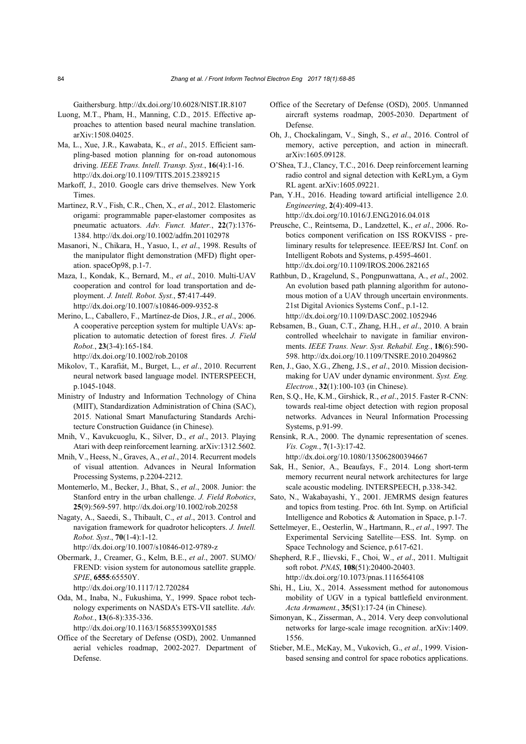Gaithersburg. http://dx.doi.org/10.6028/NIST.IR.8107

- Luong, M.T., Pham, H., Manning, C.D., 2015. Effective approaches to attention based neural machine translation. arXiv:1508.04025.
- Ma, L., Xue, J.R., Kawabata, K., *et al*., 2015. Efficient sampling-based motion planning for on-road autonomous driving. *IEEE Trans. Intell. Transp. Syst.*, **16**(4):1-16. http://dx.doi.org/10.1109/TITS.2015.2389215
- Markoff, J., 2010. Google cars drive themselves. New York Times.
- Martinez, R.V., Fish, C.R., Chen, X., *et al*., 2012. Elastomeric origami: programmable paper-elastomer composites as pneumatic actuators. *Adv. Funct. Mater.*, **22**(7):1376- 1384. http://dx.doi.org/10.1002/adfm.201102978
- Masanori, N., Chikara, H., Yasuo, I., *et al*., 1998. Results of the manipulator flight demonstration (MFD) flight operation. spaceOp98, p.1-7.
- Maza, I., Kondak, K., Bernard, M., *et al*., 2010. Multi-UAV cooperation and control for load transportation and deployment. *J. Intell. Robot. Syst.*, **57**:417-449. http://dx.doi.org/10.1007/s10846-009-9352-8
- Merino, L., Caballero, F., Martínez-de Dios, J.R., *et al*., 2006. A cooperative perception system for multiple UAVs: application to automatic detection of forest fires. *J. Field Robot.*, **23**(3-4):165-184.

http://dx.doi.org/10.1002/rob.20108

- Mikolov, T., Karafiát, M., Burget, L., *et al*., 2010. Recurrent neural network based language model. INTERSPEECH, p.1045-1048.
- Ministry of Industry and Information Technology of China (MIIT), Standardization Administration of China (SAC), 2015. National Smart Manufacturing Standards Architecture Construction Guidance (in Chinese).
- Mnih, V., Kavukcuoglu, K., Silver, D., *et al*., 2013. Playing Atari with deep reinforcement learning. arXiv:1312.5602.
- Mnih, V., Heess, N., Graves, A., *et al*., 2014. Recurrent models of visual attention. Advances in Neural Information Processing Systems, p.2204-2212.
- Montemerlo, M., Becker, J., Bhat, S., *et al*., 2008. Junior: the Stanford entry in the urban challenge. *J. Field Robotics*, **25**(9):569-597. http://dx.doi.org/10.1002/rob.20258
- Nagaty, A., Saeedi, S., Thibault, C., *et al*., 2013. Control and navigation framework for quadrotor helicopters. *J. Intell. Robot. Syst*., **70**(1-4):1-12. http://dx.doi.org/10.1007/s10846-012-9789-z
- Obermark, J., Creamer, G., Kelm, B.E., *et al*., 2007. SUMO/ FREND: vision system for autonomous satellite grapple. *SPIE*, **6555**:65550Y.

http://dx.doi.org/10.1117/12.720284

Oda, M., Inaba, N., Fukushima, Y., 1999. Space robot technology experiments on NASDA's ETS-VII satellite. *Adv. Robot.*, **13**(6-8):335-336.

http://dx.doi.org/10.1163/156855399X01585

Office of the Secretary of Defense (OSD), 2002. Unmanned aerial vehicles roadmap, 2002-2027. Department of Defense.

- Office of the Secretary of Defense (OSD), 2005. Unmanned aircraft systems roadmap, 2005-2030. Department of Defense.
- Oh, J., Chockalingam, V., Singh, S., *et al*., 2016. Control of memory, active perception, and action in minecraft. arXiv:1605.09128.
- O'Shea, T.J., Clancy, T.C., 2016. Deep reinforcement learning radio control and signal detection with KeRLym, a Gym RL agent. arXiv:1605.09221.
- Pan, Y.H., 2016. Heading toward artificial intelligence 2.0. *Engineering*, **2**(4):409-413.

http://dx.doi.org/10.1016/J.ENG.2016.04.018

- Preusche, C., Reintsema, D., Landzettel, K., *et al*., 2006. Robotics component verification on ISS ROKVISS - preliminary results for telepresence. IEEE/RSJ Int. Conf. on Intelligent Robots and Systems, p.4595-4601. http://dx.doi.org/10.1109/IROS.2006.282165
- Rathbun, D., Kragelund, S., Pongpunwattana, A., *et al*., 2002. An evolution based path planning algorithm for autonomous motion of a UAV through uncertain environments. 21st Digital Avionics Systems Conf., p.1-12. http://dx.doi.org/10.1109/DASC.2002.1052946
- Rebsamen, B., Guan, C.T., Zhang, H.H., *et al*., 2010. A brain controlled wheelchair to navigate in familiar environments. *IEEE Trans. Neur. Syst. Rehabil. Eng.*, **18**(6):590- 598. http://dx.doi.org/10.1109/TNSRE.2010.2049862
- Ren, J., Gao, X.G., Zheng, J.S., *et al*., 2010. Mission decisionmaking for UAV under dynamic environment. *Syst. Eng. Electron.*, **32**(1):100-103 (in Chinese).
- Ren, S.Q., He, K.M., Girshick, R., *et al*., 2015. Faster R-CNN: towards real-time object detection with region proposal networks. Advances in Neural Information Processing Systems, p.91-99.

Rensink, R.A., 2000. The dynamic representation of scenes. *Vis. Cogn.*, **7**(1-3):17-42. http://dx.doi.org/10.1080/135062800394667

- Sak, H., Senior, A., Beaufays, F., 2014. Long short-term memory recurrent neural network architectures for large scale acoustic modeling. INTERSPEECH, p.338-342.
- Sato, N., Wakabayashi, Y., 2001. JEMRMS design features and topics from testing. Proc. 6th Int. Symp. on Artificial Intelligence and Robotics & Automation in Space, p.1-7.
- Settelmeyer, E., Oesterlin, W., Hartmann, R., *et al*., 1997. The Experimental Servicing Satellite—ESS. Int. Symp. on Space Technology and Science, p.617-621.
- Shepherd, R.F., Ilievski, F., Choi, W., *et al*., 2011. Multigait soft robot. *PNAS*, **108**(51):20400-20403. http://dx.doi.org/10.1073/pnas.1116564108
- Shi, H., Liu, X., 2014. Assessment method for autonomous mobility of UGV in a typical battlefield environment. *Acta Armament.*, **35**(S1):17-24 (in Chinese).
- Simonyan, K., Zisserman, A., 2014. Very deep convolutional networks for large-scale image recognition. arXiv:1409. 1556.
- Stieber, M.E., McKay, M., Vukovich, G., *et al*., 1999. Visionbased sensing and control for space robotics applications.